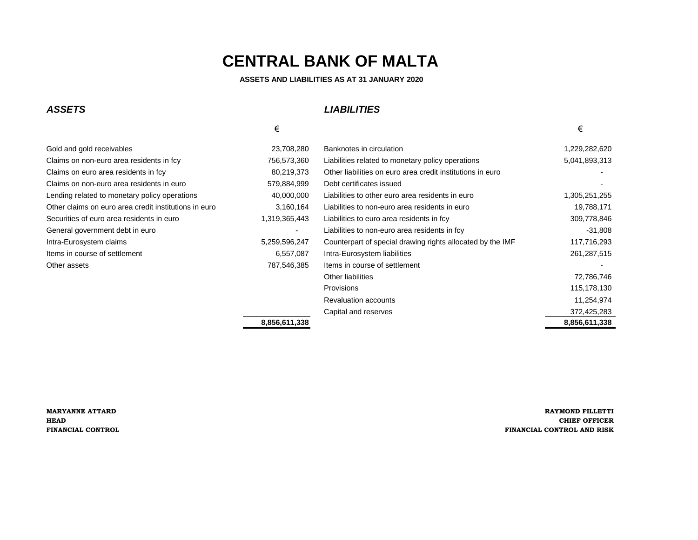**ASSETS AND LIABILITIES AS AT 31 JANUARY 2020**

#### *ASSETS LIABILITIES*

|                                                       | €                        |                                                            | €             |
|-------------------------------------------------------|--------------------------|------------------------------------------------------------|---------------|
| Gold and gold receivables                             | 23,708,280               | Banknotes in circulation                                   | 1,229,282,620 |
| Claims on non-euro area residents in fcy              | 756,573,360              | Liabilities related to monetary policy operations          | 5,041,893,313 |
| Claims on euro area residents in fcy                  | 80,219,373               | Other liabilities on euro area credit institutions in euro |               |
| Claims on non-euro area residents in euro             | 579,884,999              | Debt certificates issued                                   |               |
| Lending related to monetary policy operations         | 40,000,000               | Liabilities to other euro area residents in euro           | 1,305,251,255 |
| Other claims on euro area credit institutions in euro | 3,160,164                | Liabilities to non-euro area residents in euro             | 19,788,171    |
| Securities of euro area residents in euro             | 1,319,365,443            | Liabilities to euro area residents in fcy                  | 309,778,846   |
| General government debt in euro                       | $\overline{\phantom{0}}$ | Liabilities to non-euro area residents in fcy              | $-31,808$     |
| Intra-Eurosystem claims                               | 5,259,596,247            | Counterpart of special drawing rights allocated by the IMF | 117,716,293   |
| Items in course of settlement                         | 6,557,087                | Intra-Eurosystem liabilities                               | 261, 287, 515 |
| Other assets                                          | 787,546,385              | Items in course of settlement                              |               |
|                                                       |                          | Other liabilities                                          | 72,786,746    |
|                                                       |                          | <b>Provisions</b>                                          | 115,178,130   |
|                                                       |                          | <b>Revaluation accounts</b>                                | 11,254,974    |
|                                                       |                          | Capital and reserves                                       | 372,425,283   |
|                                                       | 8,856,611,338            |                                                            | 8,856,611,338 |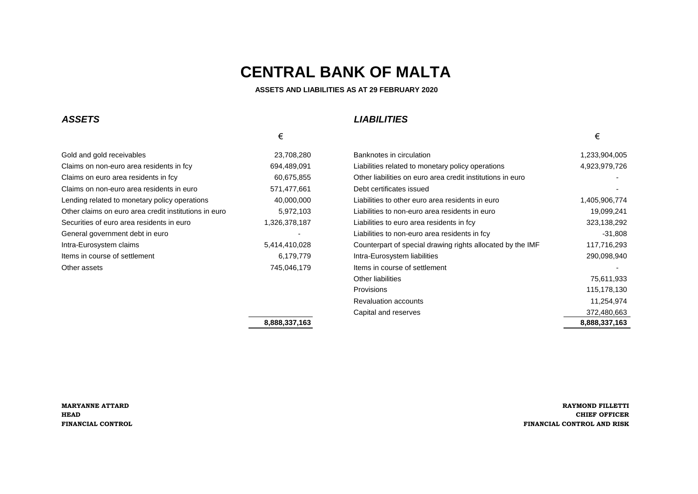#### **ASSETS AND LIABILITIES AS AT 29 FEBRUARY 2020**

#### *ASSETS LIABILITIES*

 $\epsilon$   $\epsilon$ 

| Gold and gold receivables                             | 23,708,280    |
|-------------------------------------------------------|---------------|
| Claims on non-euro area residents in fcy              | 694,489,091   |
| Claims on euro area residents in fcy                  | 60,675,855    |
| Claims on non-euro area residents in euro             | 571,477,661   |
| Lending related to monetary policy operations         | 40,000,000    |
| Other claims on euro area credit institutions in euro | 5,972,103     |
| Securities of euro area residents in euro             | 1,326,378,187 |
| General government debt in euro                       |               |
| Intra-Eurosystem claims                               | 5,414,410,028 |
| Items in course of settlement                         | 6,179,779     |
| Other assets                                          | 745.046.179   |
|                                                       |               |

| Gold and gold receivables                             | 23,708,280    | Banknotes in circulation                                   | 1,233,904,005 |
|-------------------------------------------------------|---------------|------------------------------------------------------------|---------------|
| Claims on non-euro area residents in fcy              | 694,489,091   | Liabilities related to monetary policy operations          | 4,923,979,726 |
| Claims on euro area residents in fcy                  | 60,675,855    | Other liabilities on euro area credit institutions in euro |               |
| Claims on non-euro area residents in euro             | 571,477,661   | Debt certificates issued                                   |               |
| Lending related to monetary policy operations         | 40,000,000    | Liabilities to other euro area residents in euro           | 1,405,906,774 |
| Other claims on euro area credit institutions in euro | 5,972,103     | Liabilities to non-euro area residents in euro             | 19,099,241    |
| Securities of euro area residents in euro             | 1,326,378,187 | Liabilities to euro area residents in fcy                  | 323,138,292   |
| General government debt in euro                       |               | Liabilities to non-euro area residents in fcy              | $-31,808$     |
| Intra-Eurosystem claims                               | 5,414,410,028 | Counterpart of special drawing rights allocated by the IMF | 117,716,293   |
| Items in course of settlement                         | 6,179,779     | Intra-Eurosystem liabilities                               | 290,098,940   |
| Other assets                                          | 745,046,179   | Items in course of settlement                              |               |
|                                                       |               | Other liabilities                                          | 75,611,933    |
|                                                       |               | <b>Provisions</b>                                          | 115,178,130   |
|                                                       |               | <b>Revaluation accounts</b>                                | 11,254,974    |
|                                                       |               | Capital and reserves                                       | 372,480,663   |
|                                                       | 8,888,337,163 |                                                            | 8,888,337,163 |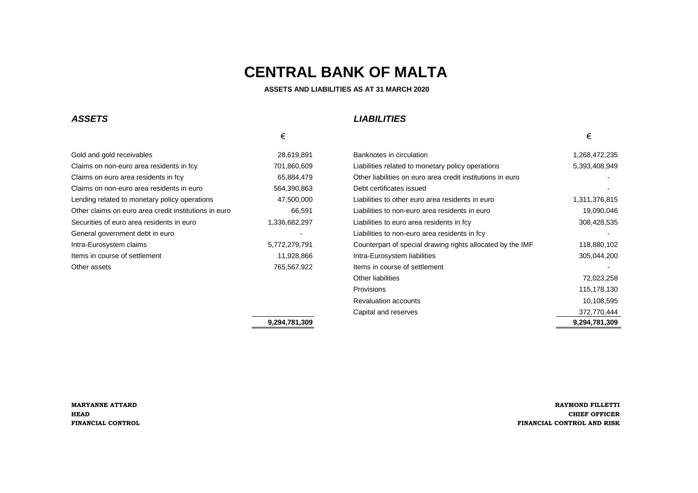# *ASSETS LIABILITIES*

| Gold and gold receivables                             | 28,619,891    |
|-------------------------------------------------------|---------------|
| Claims on non-euro area residents in fcy              | 701,860,609   |
| Claims on euro area residents in fcy                  | 65,884,479    |
| Claims on non-euro area residents in euro             | 564,390,863   |
| Lending related to monetary policy operations         | 47,500,000    |
| Other claims on euro area credit institutions in euro | 66,591        |
| Securities of euro area residents in euro             | 1,336,682,297 |
| General government debt in euro                       |               |
| Intra-Eurosystem claims                               | 5,772,279,791 |
| Items in course of settlement                         | 11,928,866    |
| Other assets                                          | 765,567,922   |

Banknotes in circulation **Exerces** 28,6472,235 Liabilities related to monetary policy operations 5,393,408,949 Other liabilities on euro area credit institutions in euro **area** -Debt certificates issued  $\overline{a}$ Liabilities to other euro area residents in euro 1,311,376,815 Liabilities to non-euro area residents in euro 66,692 Liabilities to non-euro area residents in euro 19,090,046 Liabilities to euro area residents in fcy **1,336,428,535** Liabilities to euro area residents in fcy Liabilities to non-euro area residents in fcy entitled area residents in formation and the state of the state of the state of the state of the state of the state of the state of the state of the state of the state of the s Counterpart of special drawing rights allocated by the IMF 118,880,102 Intra-Eurosystem liabilities **in course of settlement 11,928,966 interactions** 305,044,200 Items in course of settlement  $\overline{a}$ Other liabilities 72,023,258 Provisions 115,178,130 Revaluation accounts 10,108,595 Capital and reserves 372,770,444

**9,294,781,309 9,294,781,309**

**MARYANNE ATTARD RAYMOND FILLETTI HEAD CHIEF OFFICER FINANCIAL CONTROL FINANCIAL CONTROL AND RISK**

### $\epsilon$

# **CENTRAL BANK OF MALTA**

### **ASSETS AND LIABILITIES AS AT 31 MARCH 2020**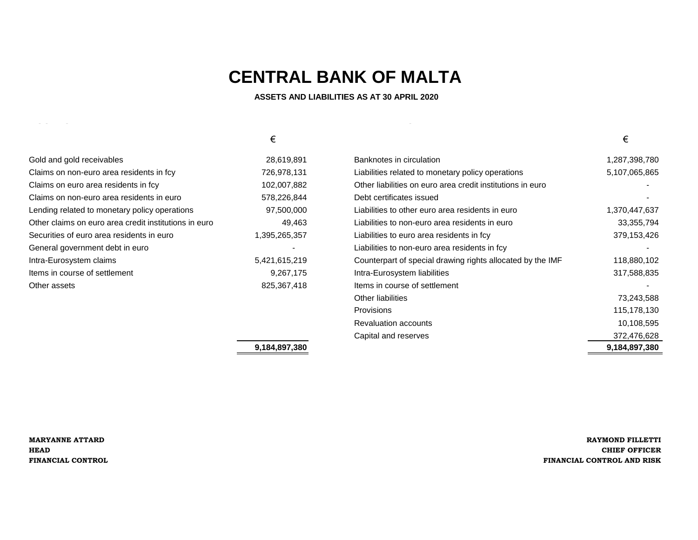**ASSETS AND LIABILITIES AS AT 30 APRIL 2020**

| Gold and gold receivables                             | 28,61    |
|-------------------------------------------------------|----------|
| Claims on non-euro area residents in fcy              | 726.97   |
| Claims on euro area residents in fcy                  | 102,00   |
| Claims on non-euro area residents in euro             | 578,22   |
| ending related to monetary policy operations          | 97,50    |
| Other claims on euro area credit institutions in euro | 4        |
| Securities of euro area residents in euro             | 1,395,26 |
| General government debt in euro                       |          |
| ntra-Eurosystem claims                                | 5,421,61 |
| tems in course of settlement                          | 9,26     |
| Other assets                                          | 825.36   |
|                                                       |          |

*ASSETS LIABILITIES*

|                                                       | €             |                                                            | €             |
|-------------------------------------------------------|---------------|------------------------------------------------------------|---------------|
| Gold and gold receivables                             | 28,619,891    | Banknotes in circulation                                   | 1,287,398,780 |
| Claims on non-euro area residents in fcy              | 726,978,131   | Liabilities related to monetary policy operations          | 5,107,065,865 |
| Claims on euro area residents in fcy                  | 102,007,882   | Other liabilities on euro area credit institutions in euro |               |
| Claims on non-euro area residents in euro             | 578,226,844   | Debt certificates issued                                   |               |
| Lending related to monetary policy operations         | 97,500,000    | Liabilities to other euro area residents in euro           | 1,370,447,637 |
| Other claims on euro area credit institutions in euro | 49,463        | Liabilities to non-euro area residents in euro             | 33, 355, 794  |
| Securities of euro area residents in euro             | 1,395,265,357 | Liabilities to euro area residents in fcy                  | 379,153,426   |
| General government debt in euro                       |               | Liabilities to non-euro area residents in fcy              |               |
| Intra-Eurosystem claims                               | 5,421,615,219 | Counterpart of special drawing rights allocated by the IMF | 118,880,102   |
| Items in course of settlement                         | 9,267,175     | Intra-Eurosystem liabilities                               | 317,588,835   |
| Other assets                                          | 825,367,418   | Items in course of settlement                              |               |
|                                                       |               | <b>Other liabilities</b>                                   | 73,243,588    |
|                                                       |               | Provisions                                                 | 115,178,130   |
|                                                       |               | <b>Revaluation accounts</b>                                | 10,108,595    |
|                                                       |               | Capital and reserves                                       | 372,476,628   |
|                                                       | 9,184,897,380 |                                                            | 9,184,897,380 |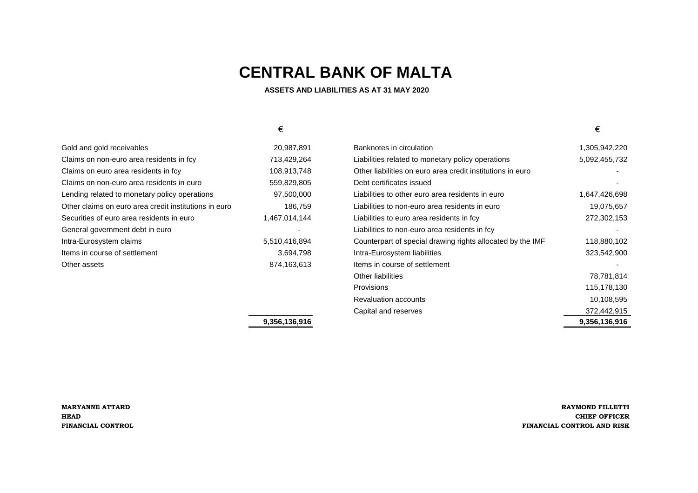| 9,356,136,916 |                                                            | 9,356,136,916 |
|---------------|------------------------------------------------------------|---------------|
|               | Capital and reserves                                       | 372,442,915   |
|               | <b>Revaluation accounts</b>                                | 10,108,595    |
|               | <b>Provisions</b>                                          | 115,178,130   |
|               | <b>Other liabilities</b>                                   | 78,781,814    |
| 874, 163, 613 | Items in course of settlement                              |               |
| 3,694,798     | Intra-Eurosystem liabilities                               | 323,542,900   |
| 5,510,416,894 | Counterpart of special drawing rights allocated by the IMF | 118,880,102   |
|               | Liabilities to non-euro area residents in fcy              |               |
| 1,467,014,144 | Liabilities to euro area residents in fcy                  | 272,302,153   |
| 186,759       | Liabilities to non-euro area residents in euro             | 19,075,657    |
| 97,500,000    | Liabilities to other euro area residents in euro           | 1,647,426,698 |
| 559,829,805   | Debt certificates issued                                   |               |
| 108,913,748   | Other liabilities on euro area credit institutions in euro |               |
| 713,429,264   | Liabilities related to monetary policy operations          | 5,092,455,732 |
| 20,987,891    | Banknotes in circulation                                   | 1,305,942,220 |

**MARYANNE ATTARD RAYMOND FILLETTI HEAD CHIEF OFFICER FINANCIAL CONTROL FINANCIAL CONTROL AND RISK**

# **CENTRAL BANK OF MALTA**

### **ASSETS AND LIABILITIES AS AT 31 MAY 2020**

| Gold and gold receivables                             | 20,987,89    |
|-------------------------------------------------------|--------------|
| Claims on non-euro area residents in fcy              | 713,429,26   |
| Claims on euro area residents in fcy                  | 108,913,74   |
| Claims on non-euro area residents in euro             | 559,829,80   |
| Lending related to monetary policy operations         | 97,500,00    |
| Other claims on euro area credit institutions in euro | 186,75       |
| Securities of euro area residents in euro             | 1,467,014,14 |
| General government debt in euro                       |              |
| Intra-Eurosystem claims                               | 5,510,416,89 |
| Items in course of settlement                         | 3,694,79     |
| Other assets                                          | 874,163,61   |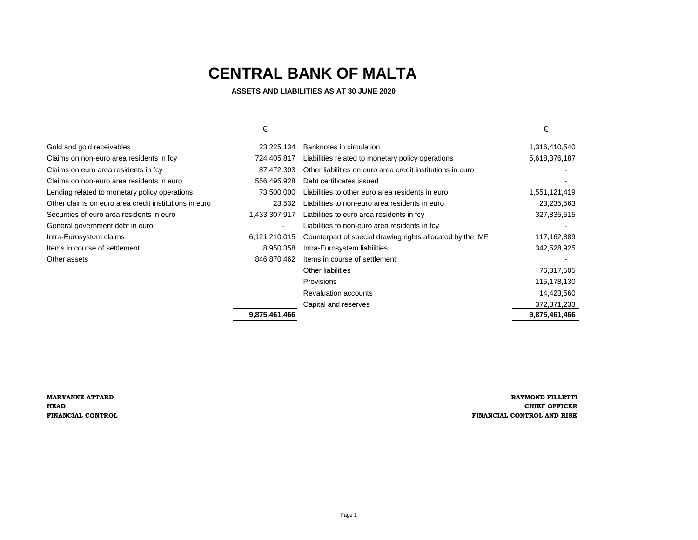**ASSETS AND LIABILITIES AS AT 30 JUNE 2020**

|  |  |  |  | $\sim$ |
|--|--|--|--|--------|
|  |  |  |  |        |

| Gold and gold receivables                             |
|-------------------------------------------------------|
| Claims on non-euro area residents in fcy              |
| Claims on euro area residents in fcy                  |
| Claims on non-euro area residents in euro             |
| Lending related to monetary policy operations         |
| Other claims on euro area credit institutions in euro |
| Securities of euro area residents in euro             |
| General government debt in euro                       |
| Intra-Eurosystem claims                               |
| Items in course of settlement                         |
| Other assets                                          |
|                                                       |

|                                                       | €              |                                                            | €             |
|-------------------------------------------------------|----------------|------------------------------------------------------------|---------------|
| Gold and gold receivables                             | 23,225,134     | Banknotes in circulation                                   | 1,316,410,540 |
| Claims on non-euro area residents in fcy              | 724,405,817    | Liabilities related to monetary policy operations          | 5,618,376,187 |
| Claims on euro area residents in fcy                  | 87,472,303     | Other liabilities on euro area credit institutions in euro |               |
| Claims on non-euro area residents in euro             | 556,495,928    | Debt certificates issued                                   |               |
| Lending related to monetary policy operations         | 73,500,000     | Liabilities to other euro area residents in euro           | 1,551,121,419 |
| Other claims on euro area credit institutions in euro | 23,532         | Liabilities to non-euro area residents in euro             | 23,235,563    |
| Securities of euro area residents in euro             | 1,433,307,917  | Liabilities to euro area residents in fcy                  | 327,835,515   |
| General government debt in euro                       | $\blacksquare$ | Liabilities to non-euro area residents in fcy              |               |
| Intra-Eurosystem claims                               | 6,121,210,015  | Counterpart of special drawing rights allocated by the IMF | 117,162,889   |
| Items in course of settlement                         | 8,950,358      | Intra-Eurosystem liabilities                               | 342,528,925   |
| Other assets                                          | 846,870,462    | Items in course of settlement                              |               |
|                                                       |                | Other liabilities                                          | 76,317,505    |
|                                                       |                | Provisions                                                 | 115,178,130   |
|                                                       |                | <b>Revaluation accounts</b>                                | 14,423,560    |
|                                                       |                | Capital and reserves                                       | 372,871,233   |
|                                                       | 9,875,461,466  |                                                            | 9,875,461,466 |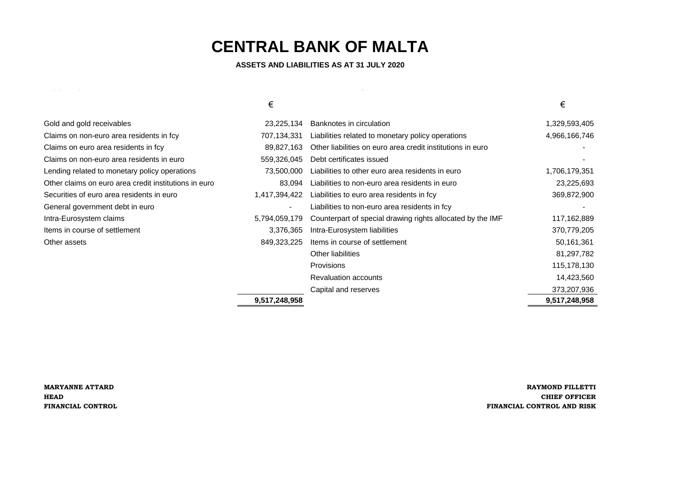| Gold and gold receivables                             | 23,225,134     | <b>Banknotes in circulation</b>                            | 1,329,593,405 |
|-------------------------------------------------------|----------------|------------------------------------------------------------|---------------|
| Claims on non-euro area residents in fcy              | 707,134,331    | Liabilities related to monetary policy operations          | 4,966,166,746 |
| Claims on euro area residents in fcy                  | 89,827,163     | Other liabilities on euro area credit institutions in euro |               |
| Claims on non-euro area residents in euro             | 559,326,045    | Debt certificates issued                                   |               |
| Lending related to monetary policy operations         | 73,500,000     | Liabilities to other euro area residents in euro           | 1,706,179,351 |
| Other claims on euro area credit institutions in euro | 83,094         | Liabilities to non-euro area residents in euro             | 23,225,693    |
| Securities of euro area residents in euro             | 1,417,394,422  | Liabilities to euro area residents in fcy                  | 369,872,900   |
| General government debt in euro                       | $\blacksquare$ | Liabilities to non-euro area residents in fcy              |               |
| Intra-Eurosystem claims                               | 5,794,059,179  | Counterpart of special drawing rights allocated by the IMF | 117,162,889   |
| Items in course of settlement                         | 3,376,365      | Intra-Eurosystem liabilities                               | 370,779,205   |
| Other assets                                          | 849,323,225    | Items in course of settlement                              | 50,161,361    |
|                                                       |                | <b>Other liabilities</b>                                   | 81,297,782    |
|                                                       |                | <b>Provisions</b>                                          | 115,178,130   |
|                                                       |                | <b>Revaluation accounts</b>                                | 14,423,560    |
|                                                       |                | Capital and reserves                                       | 373,207,936   |
|                                                       | 9,517,248,958  |                                                            | 9,517,248,958 |

## **MARYANNE ATTARD RAYMOND FILLETTI HEAD CHIEF OFFICER FINANCIAL CONTROL FINANCIAL CONTROL AND RISK**

# **CENTRAL BANK OF MALTA**

 **ASSETS AND LIABILITIES AS AT 31 JULY 2020** 

## $\epsilon$   $\epsilon$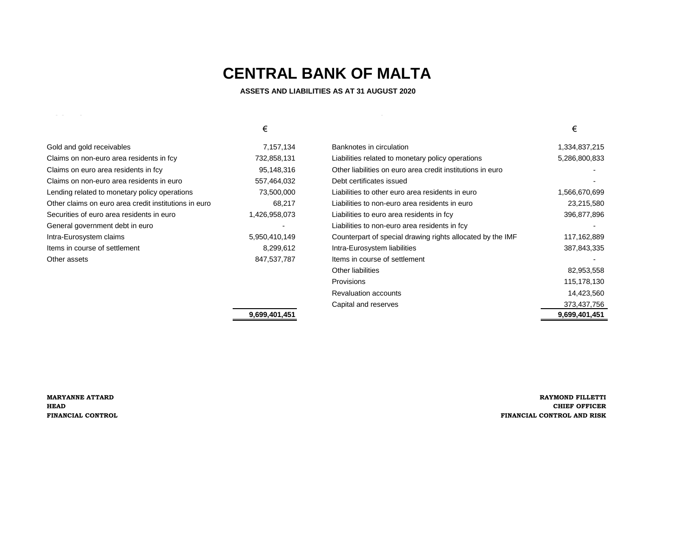**ASSETS AND LIABILITIES AS AT 31 AUGUST 2020**

|                                                       | €             |                                                            | €             |
|-------------------------------------------------------|---------------|------------------------------------------------------------|---------------|
| Gold and gold receivables                             | 7,157,134     | Banknotes in circulation                                   | 1,334,837,215 |
| Claims on non-euro area residents in fcy              | 732,858,131   | Liabilities related to monetary policy operations          | 5,286,800,833 |
| Claims on euro area residents in fcy                  | 95,148,316    | Other liabilities on euro area credit institutions in euro |               |
| Claims on non-euro area residents in euro             | 557,464,032   | Debt certificates issued                                   |               |
| Lending related to monetary policy operations         | 73,500,000    | Liabilities to other euro area residents in euro           | 1,566,670,699 |
| Other claims on euro area credit institutions in euro | 68,217        | Liabilities to non-euro area residents in euro             | 23,215,580    |
| Securities of euro area residents in euro             | 1,426,958,073 | Liabilities to euro area residents in fcy                  | 396,877,896   |
| General government debt in euro                       |               | Liabilities to non-euro area residents in fcy              |               |
| Intra-Eurosystem claims                               | 5,950,410,149 | Counterpart of special drawing rights allocated by the IMF | 117,162,889   |
| Items in course of settlement                         | 8,299,612     | Intra-Eurosystem liabilities                               | 387,843,335   |
| Other assets                                          | 847,537,787   | Items in course of settlement                              |               |
|                                                       |               | Other liabilities                                          | 82,953,558    |
|                                                       |               | <b>Provisions</b>                                          | 115,178,130   |
|                                                       |               | <b>Revaluation accounts</b>                                | 14,423,560    |

**9,699,401,451 9,699,401,451**

*ASSETS LIABILITIES*

**MARYANNE ATTARD RAYMOND FILLETTI HEAD CHIEF OFFICER FINANCIAL CONTROL FINANCIAL CONTROL AND RISK**

Capital and reserves 373,437,756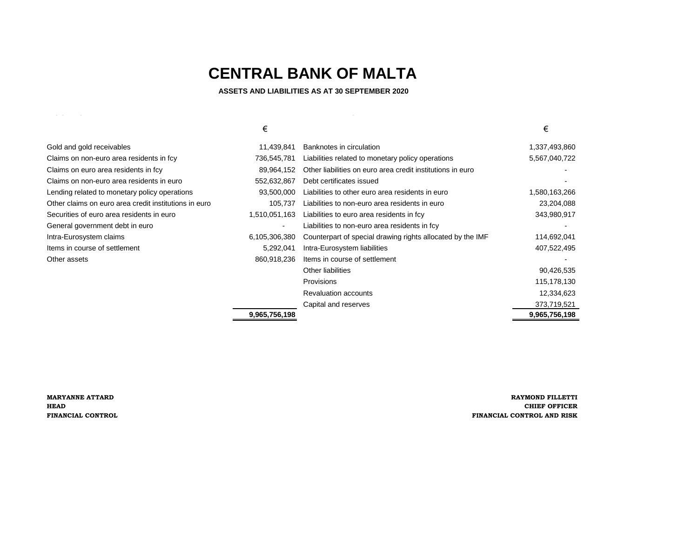**ASSETS AND LIABILITIES AS AT 30 SEPTEMBER 2020**

| ___ |  |  |  | $\sim$ |
|-----|--|--|--|--------|

|                                                       | €             |                                                            | €             |
|-------------------------------------------------------|---------------|------------------------------------------------------------|---------------|
| Gold and gold receivables                             | 11,439,841    | Banknotes in circulation                                   | 1,337,493,860 |
| Claims on non-euro area residents in fcy              | 736,545,781   | Liabilities related to monetary policy operations          | 5,567,040,722 |
| Claims on euro area residents in fcy                  | 89,964,152    | Other liabilities on euro area credit institutions in euro |               |
| Claims on non-euro area residents in euro             | 552,632,867   | Debt certificates issued                                   |               |
| Lending related to monetary policy operations         | 93,500,000    | Liabilities to other euro area residents in euro           | 1,580,163,266 |
| Other claims on euro area credit institutions in euro | 105,737       | Liabilities to non-euro area residents in euro             | 23,204,088    |
| Securities of euro area residents in euro             | 1,510,051,163 | Liabilities to euro area residents in fcy                  | 343,980,917   |
| General government debt in euro                       | -             | Liabilities to non-euro area residents in fcy              |               |
| Intra-Eurosystem claims                               | 6,105,306,380 | Counterpart of special drawing rights allocated by the IMF | 114,692,041   |
| Items in course of settlement                         | 5,292,041     | Intra-Eurosystem liabilities                               | 407,522,495   |
| Other assets                                          | 860,918,236   | Items in course of settlement                              |               |
|                                                       |               | Other liabilities                                          | 90,426,535    |
|                                                       |               | <b>Provisions</b>                                          | 115,178,130   |
|                                                       |               | <b>Revaluation accounts</b>                                | 12,334,623    |
|                                                       |               | Capital and reserves                                       | 373,719,521   |
|                                                       | 9,965,756,198 |                                                            | 9,965,756,198 |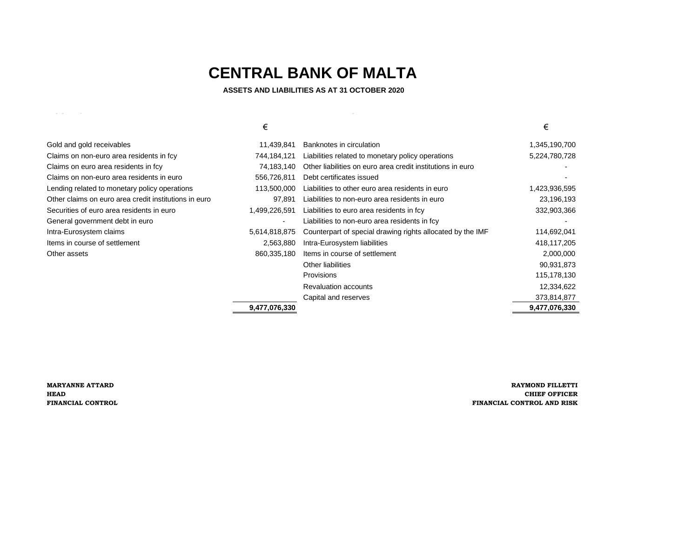**ASSETS AND LIABILITIES AS AT 31 OCTOBER 2020**

*ASSETS LIABILITIES*

|                                                       | €              |                                                            | €             |
|-------------------------------------------------------|----------------|------------------------------------------------------------|---------------|
| Gold and gold receivables                             | 11,439,841     | Banknotes in circulation                                   | 1,345,190,700 |
| Claims on non-euro area residents in fcy              | 744,184,121    | Liabilities related to monetary policy operations          | 5,224,780,728 |
| Claims on euro area residents in fcy                  | 74,183,140     | Other liabilities on euro area credit institutions in euro |               |
| Claims on non-euro area residents in euro             | 556,726,811    | Debt certificates issued                                   |               |
| Lending related to monetary policy operations         | 113,500,000    | Liabilities to other euro area residents in euro           | 1,423,936,595 |
| Other claims on euro area credit institutions in euro | 97,891         | Liabilities to non-euro area residents in euro             | 23,196,193    |
| Securities of euro area residents in euro             | 1,499,226,591  | Liabilities to euro area residents in fcy                  | 332,903,366   |
| General government debt in euro                       | $\blacksquare$ | Liabilities to non-euro area residents in fcy              |               |
| Intra-Eurosystem claims                               | 5,614,818,875  | Counterpart of special drawing rights allocated by the IMF | 114,692,041   |
| Items in course of settlement                         | 2,563,880      | Intra-Eurosystem liabilities                               | 418,117,205   |
| Other assets                                          | 860,335,180    | Items in course of settlement                              | 2,000,000     |
|                                                       |                | Other liabilities                                          | 90,931,873    |
|                                                       |                | <b>Provisions</b>                                          | 115,178,130   |
|                                                       |                | <b>Revaluation accounts</b>                                | 12,334,622    |
|                                                       |                | Capital and reserves                                       | 373,814,877   |
|                                                       | 9,477,076,330  |                                                            | 9,477,076,330 |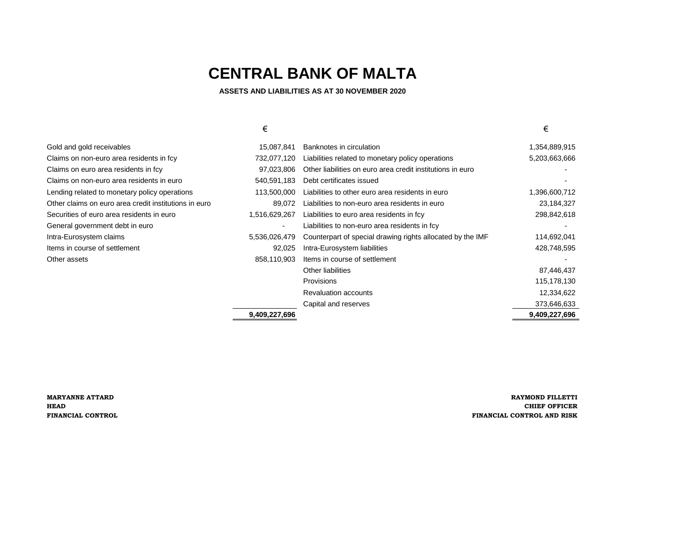#### **ASSETS AND LIABILITIES AS AT 30 NOVEMBER 2020**

|                                                       | €                        |                                                            | €             |
|-------------------------------------------------------|--------------------------|------------------------------------------------------------|---------------|
| Gold and gold receivables                             | 15,087,841               | Banknotes in circulation                                   | 1,354,889,915 |
| Claims on non-euro area residents in fcy              | 732,077,120              | Liabilities related to monetary policy operations          | 5,203,663,666 |
| Claims on euro area residents in fcy                  | 97,023,806               | Other liabilities on euro area credit institutions in euro |               |
| Claims on non-euro area residents in euro             | 540,591,183              | Debt certificates issued                                   |               |
| Lending related to monetary policy operations         | 113,500,000              | Liabilities to other euro area residents in euro           | 1,396,600,712 |
| Other claims on euro area credit institutions in euro | 89,072                   | Liabilities to non-euro area residents in euro             | 23,184,327    |
| Securities of euro area residents in euro             | 1,516,629,267            | Liabilities to euro area residents in fcy                  | 298,842,618   |
| General government debt in euro                       | $\overline{\phantom{a}}$ | Liabilities to non-euro area residents in fcy              |               |
| Intra-Eurosystem claims                               | 5,536,026,479            | Counterpart of special drawing rights allocated by the IMF | 114,692,041   |
| Items in course of settlement                         | 92,025                   | Intra-Eurosystem liabilities                               | 428,748,595   |
| Other assets                                          | 858,110,903              | Items in course of settlement                              |               |
|                                                       |                          | Other liabilities                                          | 87,446,437    |
|                                                       |                          | Provisions                                                 | 115,178,130   |
|                                                       |                          | <b>Revaluation accounts</b>                                | 12,334,622    |
|                                                       |                          | Capital and reserves                                       | 373,646,633   |
|                                                       | 9,409,227,696            |                                                            | 9,409,227,696 |